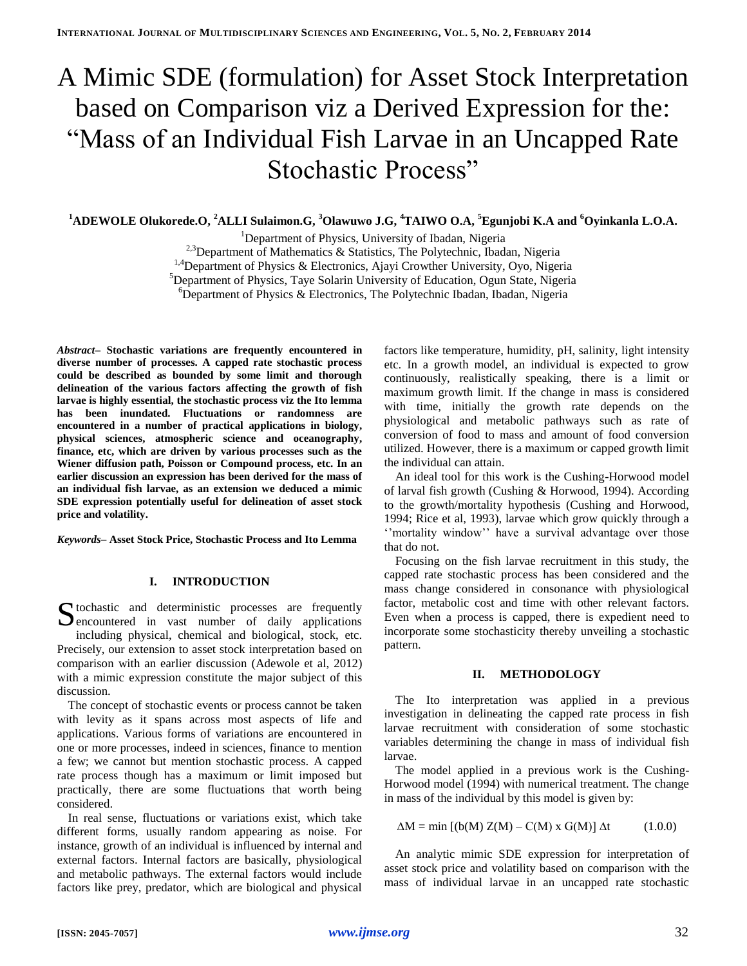# A Mimic SDE (formulation) for Asset Stock Interpretation based on Comparison viz a Derived Expression for the: "Mass of an Individual Fish Larvae in an Uncapped Rate Stochastic Process"

## **<sup>1</sup>ADEWOLE Olukorede.O, <sup>2</sup>ALLI Sulaimon.G, <sup>3</sup>Olawuwo J.G, <sup>4</sup>TAIWO O.A, <sup>5</sup>Egunjobi K.A and <sup>6</sup>Oyinkanla L.O.A.**

<sup>1</sup>Department of Physics, University of Ibadan, Nigeria

<sup>2,3</sup>Department of Mathematics & Statistics, The Polytechnic, Ibadan, Nigeria

<sup>1,4</sup>Department of Physics & Electronics, Ajayi Crowther University, Oyo, Nigeria

<sup>5</sup>Department of Physics, Taye Solarin University of Education, Ogun State, Nigeria

 $6$ Department of Physics & Electronics, The Polytechnic Ibadan, Ibadan, Nigeria

*Abstract–* **Stochastic variations are frequently encountered in diverse number of processes. A capped rate stochastic process could be described as bounded by some limit and thorough delineation of the various factors affecting the growth of fish larvae is highly essential, the stochastic process viz the Ito lemma has been inundated. Fluctuations or randomness are encountered in a number of practical applications in biology, physical sciences, atmospheric science and oceanography, finance, etc, which are driven by various processes such as the Wiener diffusion path, Poisson or Compound process, etc. In an earlier discussion an expression has been derived for the mass of an individual fish larvae, as an extension we deduced a mimic SDE expression potentially useful for delineation of asset stock price and volatility.**

*Keywords–* **Asset Stock Price, Stochastic Process and Ito Lemma**

## **I. INTRODUCTION**

tochastic and deterministic processes are frequently S to chastic and deterministic processes are frequently encountered in vast number of daily applications including physical, chemical and biological, stock, etc. Precisely, our extension to asset stock interpretation based on comparison with an earlier discussion (Adewole et al, 2012) with a mimic expression constitute the major subject of this discussion.

The concept of stochastic events or process cannot be taken with levity as it spans across most aspects of life and applications. Various forms of variations are encountered in one or more processes, indeed in sciences, finance to mention a few; we cannot but mention stochastic process. A capped rate process though has a maximum or limit imposed but practically, there are some fluctuations that worth being considered.

In real sense, fluctuations or variations exist, which take different forms, usually random appearing as noise. For instance, growth of an individual is influenced by internal and external factors. Internal factors are basically, physiological and metabolic pathways. The external factors would include factors like prey, predator, which are biological and physical

factors like temperature, humidity, pH, salinity, light intensity etc. In a growth model, an individual is expected to grow continuously, realistically speaking, there is a limit or maximum growth limit. If the change in mass is considered with time, initially the growth rate depends on the physiological and metabolic pathways such as rate of conversion of food to mass and amount of food conversion utilized. However, there is a maximum or capped growth limit the individual can attain.

An ideal tool for this work is the Cushing-Horwood model of larval fish growth (Cushing & Horwood, 1994). According to the growth/mortality hypothesis (Cushing and Horwood, 1994; Rice et al, 1993), larvae which grow quickly through a ''mortality window'' have a survival advantage over those that do not.

Focusing on the fish larvae recruitment in this study, the capped rate stochastic process has been considered and the mass change considered in consonance with physiological factor, metabolic cost and time with other relevant factors. Even when a process is capped, there is expedient need to incorporate some stochasticity thereby unveiling a stochastic pattern.

## **II. METHODOLOGY**

The Ito interpretation was applied in a previous investigation in delineating the capped rate process in fish larvae recruitment with consideration of some stochastic variables determining the change in mass of individual fish larvae.

The model applied in a previous work is the Cushing-Horwood model (1994) with numerical treatment. The change in mass of the individual by this model is given by:

 $\Delta M = \min \left[ (b(M) Z(M) - C(M) x G(M) \right] \Delta t$  (1.0.0)

An analytic mimic SDE expression for interpretation of asset stock price and volatility based on comparison with the mass of individual larvae in an uncapped rate stochastic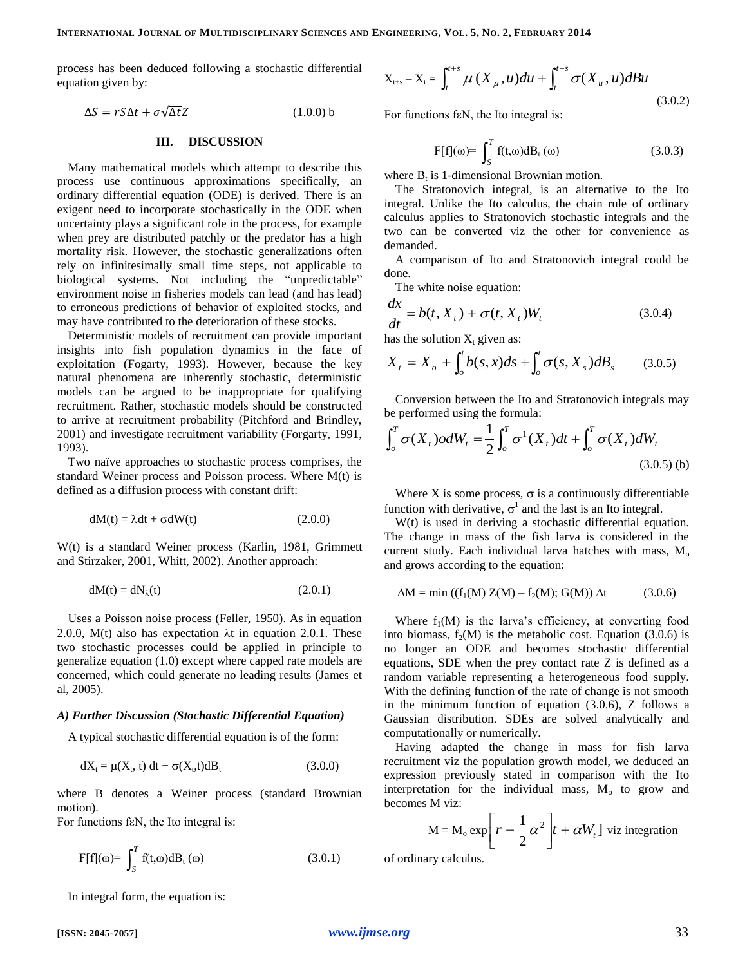process has been deduced following a stochastic differential equation given by:

$$
\Delta S = rS\Delta t + \sigma\sqrt{\Delta t}Z \tag{1.0.0}
$$

#### **III. DISCUSSION**

Many mathematical models which attempt to describe this process use continuous approximations specifically, an ordinary differential equation (ODE) is derived. There is an exigent need to incorporate stochastically in the ODE when uncertainty plays a significant role in the process, for example when prey are distributed patchly or the predator has a high mortality risk. However, the stochastic generalizations often rely on infinitesimally small time steps, not applicable to biological systems. Not including the "unpredictable" environment noise in fisheries models can lead (and has lead) to erroneous predictions of behavior of exploited stocks, and may have contributed to the deterioration of these stocks.

Deterministic models of recruitment can provide important insights into fish population dynamics in the face of exploitation (Fogarty, 1993). However, because the key natural phenomena are inherently stochastic, deterministic models can be argued to be inappropriate for qualifying recruitment. Rather, stochastic models should be constructed to arrive at recruitment probability (Pitchford and Brindley, 2001) and investigate recruitment variability (Forgarty, 1991, 1993).

Two naïve approaches to stochastic process comprises, the standard Weiner process and Poisson process. Where M(t) is defined as a diffusion process with constant drift:

$$
dM(t) = \lambda dt + \sigma dW(t)
$$
 (2.0.0)

W(t) is a standard Weiner process (Karlin, 1981, Grimmett and Stirzaker, 2001, Whitt, 2002). Another approach:

$$
dM(t) = dN_{\lambda}(t) \tag{2.0.1}
$$

Uses a Poisson noise process (Feller, 1950). As in equation 2.0.0,  $M(t)$  also has expectation  $\lambda t$  in equation 2.0.1. These two stochastic processes could be applied in principle to generalize equation (1.0) except where capped rate models are concerned, which could generate no leading results (James et al, 2005).

## *A) Further Discussion (Stochastic Differential Equation)*

A typical stochastic differential equation is of the form:

$$
dX_t = \mu(X_t, t) dt + \sigma(X_t, t) dB_t
$$
\n(3.0.0)

where B denotes a Weiner process (standard Brownian motion).

For functions fεN, the Ito integral is:

$$
F[f](\omega) = \int_{S}^{T} f(t, \omega) dB_t(\omega)
$$
 (3.0.1)

In integral form, the equation is:

$$
X_{t+s} - X_t = \int_t^{t+s} \mu(X_{\mu}, u) du + \int_t^{t+s} \sigma(X_{\mu}, u) dB u
$$
\n(3.0.2)

For functions fεN, the Ito integral is:

$$
F[f](\omega) = \int_{S}^{T} f(t, \omega) dB_t(\omega)
$$
 (3.0.3)

where  $B_t$  is 1-dimensional Brownian motion.

The Stratonovich integral, is an alternative to the Ito integral. Unlike the Ito calculus, the chain rule of ordinary calculus applies to Stratonovich stochastic integrals and the two can be converted viz the other for convenience as demanded.

A comparison of Ito and Stratonovich integral could be done.

The white noise equation:

$$
\frac{dx}{dt} = b(t, X_t) + \sigma(t, X_t)W_t
$$
\n(3.0.4)

has the solution  $X_t$  given as:

$$
X_{t} = X_{o} + \int_{o}^{t} b(s, x) ds + \int_{o}^{t} \sigma(s, X_{s}) dB_{s}
$$
 (3.0.5)

Conversion between the Ito and Stratonovich integrals may be performed using the formula:

$$
\int_o^T \sigma(X_t) o dW_t = \frac{1}{2} \int_o^T \sigma^1(X_t) dt + \int_o^T \sigma(X_t) dW_t
$$
\n(3.0.5) (b)

Where X is some process,  $\sigma$  is a continuously differentiable function with derivative,  $\sigma^1$  and the last is an Ito integral.

W(t) is used in deriving a stochastic differential equation. The change in mass of the fish larva is considered in the current study. Each individual larva hatches with mass,  $M_0$ and grows according to the equation:

$$
\Delta M = \min ((f_1(M) Z(M) - f_2(M); G(M)) \Delta t \tag{3.0.6}
$$

Where  $f_1(M)$  is the larva's efficiency, at converting food into biomass,  $f_2(M)$  is the metabolic cost. Equation (3.0.6) is no longer an ODE and becomes stochastic differential equations, SDE when the prey contact rate Z is defined as a random variable representing a heterogeneous food supply. With the defining function of the rate of change is not smooth in the minimum function of equation (3.0.6), Z follows a Gaussian distribution. SDEs are solved analytically and computationally or numerically.

Having adapted the change in mass for fish larva recruitment viz the population growth model, we deduced an expression previously stated in comparison with the Ito interpretation for the individual mass,  $M_0$  to grow and becomes M viz:

$$
M = M_o \exp\left[r - \frac{1}{2}\alpha^2\right]t + \alpha W_t
$$
l viz integration

of ordinary calculus.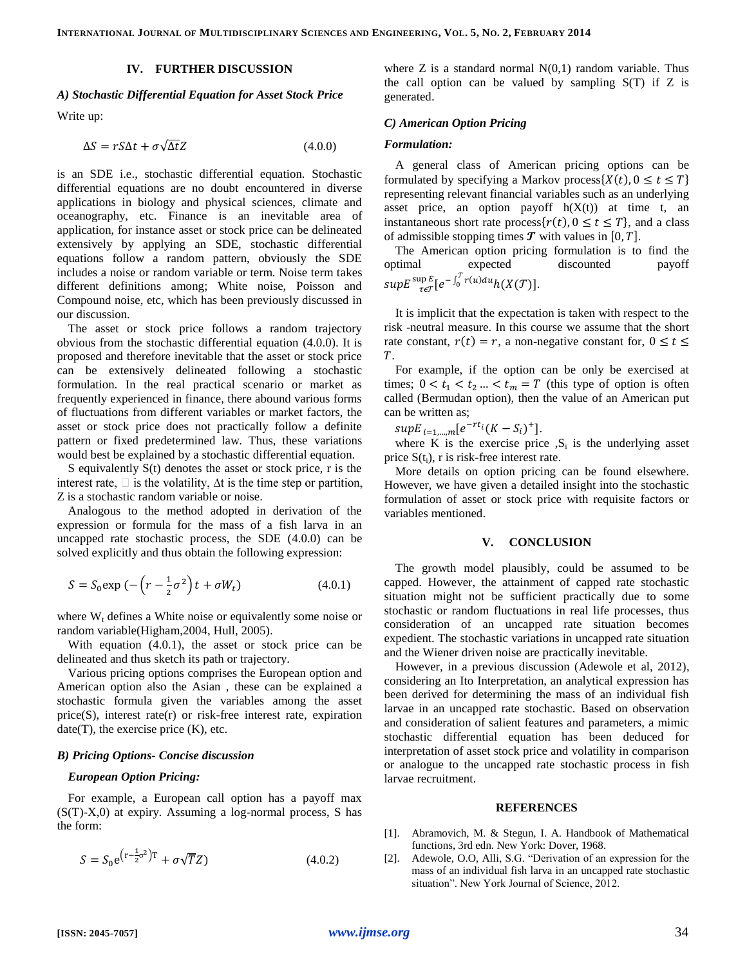## **IV. FURTHER DISCUSSION**

#### *A) Stochastic Differential Equation for Asset Stock Price*

Write up:

$$
\Delta S = rS\Delta t + \sigma\sqrt{\Delta t}Z\tag{4.0.0}
$$

is an SDE i.e., stochastic differential equation. Stochastic differential equations are no doubt encountered in diverse applications in biology and physical sciences, climate and oceanography, etc. Finance is an inevitable area of application, for instance asset or stock price can be delineated extensively by applying an SDE, stochastic differential equations follow a random pattern, obviously the SDE includes a noise or random variable or term. Noise term takes different definitions among; White noise, Poisson and Compound noise, etc, which has been previously discussed in our discussion.

The asset or stock price follows a random trajectory obvious from the stochastic differential equation (4.0.0). It is proposed and therefore inevitable that the asset or stock price can be extensively delineated following a stochastic formulation. In the real practical scenario or market as frequently experienced in finance, there abound various forms of fluctuations from different variables or market factors, the asset or stock price does not practically follow a definite pattern or fixed predetermined law. Thus, these variations would best be explained by a stochastic differential equation.

S equivalently S(t) denotes the asset or stock price, r is the interest rate,  $\Box$  is the volatility,  $\Delta t$  is the time step or partition, Z is a stochastic random variable or noise.

Analogous to the method adopted in derivation of the expression or formula for the mass of a fish larva in an uncapped rate stochastic process, the SDE (4.0.0) can be solved explicitly and thus obtain the following expression:

$$
S = S_0 \exp\left(-\left(r - \frac{1}{2}\sigma^2\right)t + \sigma W_t\right) \tag{4.0.1}
$$

where  $W_t$  defines a White noise or equivalently some noise or random variable(Higham,2004, Hull, 2005).

With equation (4.0.1), the asset or stock price can be delineated and thus sketch its path or trajectory.

Various pricing options comprises the European option and American option also the Asian , these can be explained a stochastic formula given the variables among the asset  $price(S)$ , interest rate $(r)$  or risk-free interest rate, expiration  $date(T)$ , the exercise price  $(K)$ , etc.

#### *B) Pricing Options- Concise discussion*

## *European Option Pricing:*

For example, a European call option has a payoff max (S(T)-X,0) at expiry. Assuming a log-normal process, S has the form:

$$
S = S_0 e^{(r - \frac{1}{2}\sigma^2)T} + \sigma \sqrt{T} Z
$$
 (4.0.2)

where  $Z$  is a standard normal  $N(0,1)$  random variable. Thus the call option can be valued by sampling  $S(T)$  if Z is generated.

#### *C) American Option Pricing*

#### *Formulation:*

A general class of American pricing options can be formulated by specifying a Markov process  $\{X(t), 0 \le t \le T\}$ representing relevant financial variables such as an underlying asset price, an option payoff  $h(X(t))$  at time t, an instantaneous short rate process  $\{r(t), 0 \le t \le T\}$ , and a class of admissible stopping times  $\boldsymbol{T}$  with values in [0,  $T$ ].

The American option pricing formulation is to find the optimal expected discounted payoff  $supE\frac{\sup E}{\tau \epsilon\mathcal{T}}[e^{-\int_{0}^{ \cdot }}$  $\sup_{\tau \in \mathcal{T}} \left[ e^{-\int_0^{\tau} r(u) du} h(X(\mathcal{T})) \right].$ 

It is implicit that the expectation is taken with respect to the risk -neutral measure. In this course we assume that the short rate constant,  $r(t) = r$ , a non-negative constant for,  $0 \le t \le$  $T$ .

For example, if the option can be only be exercised at times;  $0 < t_1 < t_2 ... < t_m = T$  (this type of option is often called (Bermudan option), then the value of an American put can be written as;

 $supE_{i=1}$   $m[e^{-rt_i}(K-S_i)^+]$ .

where K is the exercise price  $\,_i$  is the underlying asset price  $S(t_i)$ , r is risk-free interest rate.

More details on option pricing can be found elsewhere. However, we have given a detailed insight into the stochastic formulation of asset or stock price with requisite factors or variables mentioned.

#### **V. CONCLUSION**

The growth model plausibly, could be assumed to be capped. However, the attainment of capped rate stochastic situation might not be sufficient practically due to some stochastic or random fluctuations in real life processes, thus consideration of an uncapped rate situation becomes expedient. The stochastic variations in uncapped rate situation and the Wiener driven noise are practically inevitable.

However, in a previous discussion (Adewole et al, 2012), considering an Ito Interpretation, an analytical expression has been derived for determining the mass of an individual fish larvae in an uncapped rate stochastic. Based on observation and consideration of salient features and parameters, a mimic stochastic differential equation has been deduced for interpretation of asset stock price and volatility in comparison or analogue to the uncapped rate stochastic process in fish larvae recruitment.

#### **REFERENCES**

- [1]. Abramovich, M. & Stegun, I. A. Handbook of Mathematical functions, 3rd edn. New York: Dover, 1968.
- [2]. Adewole, O.O, Alli, S.G. "Derivation of an expression for the mass of an individual fish larva in an uncapped rate stochastic situation". New York Journal of Science, 2012.